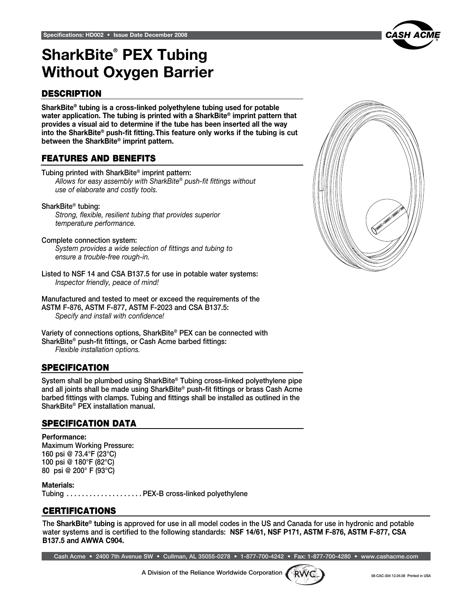

## Specifications: BA001 SharkBite® PEX Tubing Without Oxygen Barrier

#### **DESCRIPTION**

SharkBite® tubing is a cross-linked polyethylene tubing used for potable water application. The tubing is printed with a SharkBite® imprint pattern that provides a visual aid to determine if the tube has been inserted all the way into the SharkBite® push-fit fitting. This feature only works if the tubing is cut between the SharkBite® imprint pattern.

### features and benefits

Tubing printed with SharkBite® imprint pattern: *Allows for easy assembly with SharkBite® push-fit fittings without use of elaborate and costly tools.*

#### SharkBite® tubing:

*Strong, flexible, resilient tubing that provides superior temperature performance.*

Complete connection system: *System provides a wide selection of fittings and tubing to* 

*ensure a trouble-free rough-in.*

Listed to NSF 14 and CSA B137.5 for use in potable water systems: *Inspector friendly, peace of mind!*

Manufactured and tested to meet or exceed the requirements of the ASTM F-876, ASTM F-877, ASTM F-2023 and CSA B137.5: *Specify and install with confidence!*

Variety of connections options, SharkBite® PEX can be connected with SharkBite® push-fit fittings, or Cash Acme barbed fittings: *Flexible installation options.*

#### **SPECIFICATION**

System shall be plumbed using SharkBite® Tubing cross-linked polyethylene pipe and all joints shall be made using SharkBite® push-fit fittings or brass Cash Acme barbed fittings with clamps. Tubing and fittings shall be installed as outlined in the SharkBite® PEX installation manual.

#### specification data

Performance: Maximum Working Pressure: 160 psi @ 73.4°F (23°C) 100 psi @ 180°F (82°C) 80 psi @ 200° F (93°C)

Materials: Tubing . PEX-B cross-linked polyethylene

#### **CERTIFICATIONS**

The SharkBite® tubing is approved for use in all model codes in the US and Canada for use in hydronic and potable water systems and is certified to the following standards: NSF 14/61, NSF P171, ASTM F-876, ASTM F-877, CSA B137.5 and AWWA C904.

Cash Acme • 2400 7th Avenue SW • Cullman, AL 35055-0278 • 1-877-700-4242 • Fax: 1-877-700-4280 • www.cashacme.com